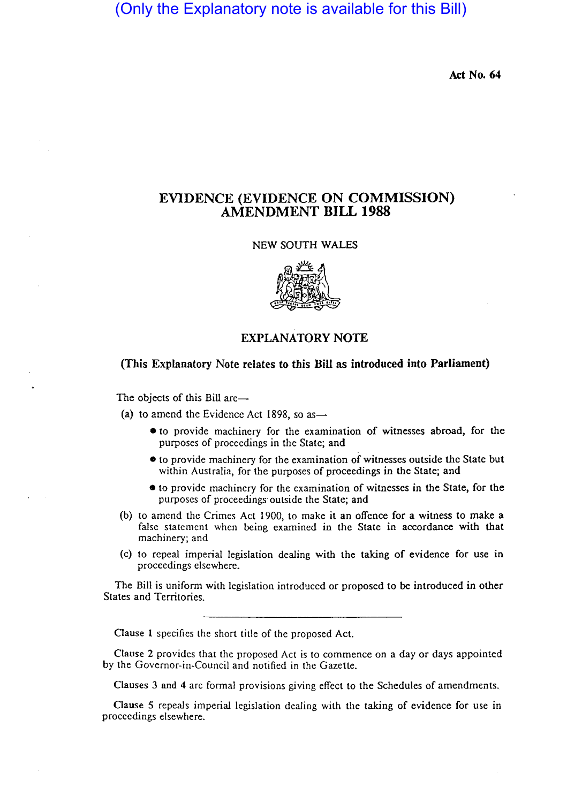(Only the Explanatory note is available for this Bill)

Act No. 64

# EVIDENCE (EVIDENCE ON COMMISSION) AMENDMENT BILL 1988

### NEW SOUTH WALES



## EXPLANATORY NOTE

## (This Explanatory Note relates to this Bill as introduced into Parliament)

The objects of this Bill are-

- (a) to amend the Evidence Act 1898, so as  $-$ 
	- to provide machinery for the examination of witnesses abroad, for the purposes of proceedings in the State; and
	- to provide machinery for the examination of witnesses outside the State but within Australia, for the purposes of proceedings in the State; and
	- to provide machinery for the examination of witnesses in the State, for the purposes of proceedings· outside the State; and
- (b) to amend the Crimes Act 1900, to make it an offence for a witness to make a false statement when being examined in the State in accordance with that machinery; and
- (c) to repeal imperial legislation dealing with the taking of evidence for use in proceedings elsewhere.

The Bill is uniform with legislation introduced or proposed to be introduced in other States and Territories.

Oause 1 specifics the short title of the proposed Act.

Clause 2 provides that the proposed Act is to commence on a day or days appointed by the Governor-in-Council and notified in the Gazette.

Clauses 3 and 4 are formal provisions giving effect to the Schedules of amendments.

Oause 5 repeals imperial legislation dealing with the taking of evidence for use in proceedings elsewhere.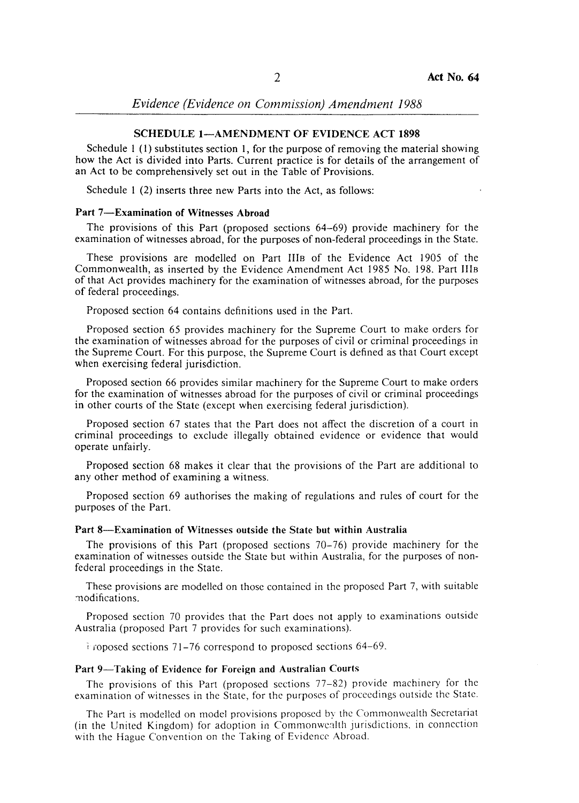*Evidence (Evidence on Commission) Amendment 1988* 

### SCHEDULE 1-AMENDMENT OF EVIDENCE ACT 1898

Schedule I (I) substitutes section I, for the purpose of removing the material showing how the Act is divided into Parts. Current practice is for details of the arrangement of an Act to be comprehensively set out in the Table of Provisions.

Schedule 1 (2) inserts three new Parts into the Act, as follows:

## Part 7-Examination of Witnesses Abroad

The provisions of this Part (proposed sections 64-69) provide machinery for the examination of witnesses abroad, for the purposes of non-federal proceedings in the State.

These provisions are modelled on Part IIIB of the Evidence Act 1905 of the Commonwealth, as inserted by the Evidence Amendment Act 1985 No. 198. Part IIIB of that Act provides machinery for the examination of witnesses abroad, for the purposes of federal proceedings.

Proposed section 64 contains definitions used in the Part.

Proposed section 65 provides machinery for the Supreme Court to make orders for the examination of witnesses abroad for the purposes of civil or criminal proceedings in the Supreme Court. For this purpose, the Supreme Court is defined as that Court except when exercising federal jurisdiction.

Proposed section 66 provides similar machinery for the Supreme Court to make orders for the examination of witnesses abroad for the purposes of civil or criminal proceedings in other courts of the State (except when exercising federal jurisdiction).

Proposed section 67 states that the Part does not affect the discretion of a court in criminal proceedings to exclude illegally obtained evidence or evidence that would operate unfairly.

Proposed section 68 makes it clear that the provisions of the Part are additional to any other method of examining a witness.

Proposed section 69 authorises the making of regulations and rules of court for the purposes of the Part.

#### Part 8-Examination of Witnesses outside the State but within Australia

The provisions of this Part (proposed sections 70-76) provide machinery for the examination of witnesses outside the State but within Australia, for the purposes of nonfederal proceedings in the State.

These provisions are modelled on those contained in the proposed Part 7, with suitable :nodifications.

Proposed section 70 provides that the Part does not apply to examinations outside Australia (proposed Part 7 provides for such examinations).

igroposed sections 71–76 correspond to proposed sections 64–69.

#### Part 9-Taking of Evidence for Foreign and Australian Courts

The provisions of this Part (proposed sections 77-82) provide machinery for the examination of witnesses in the State, for the purposes of proceedings outside the State.

The Part is modelled on model provisions proposed by the Commonwealth Secretariat (in the United Kingdom) for adoption in Commonwealth jurisdictions, in connection with the Hague Convention on the Taking of Evidence Abroad.